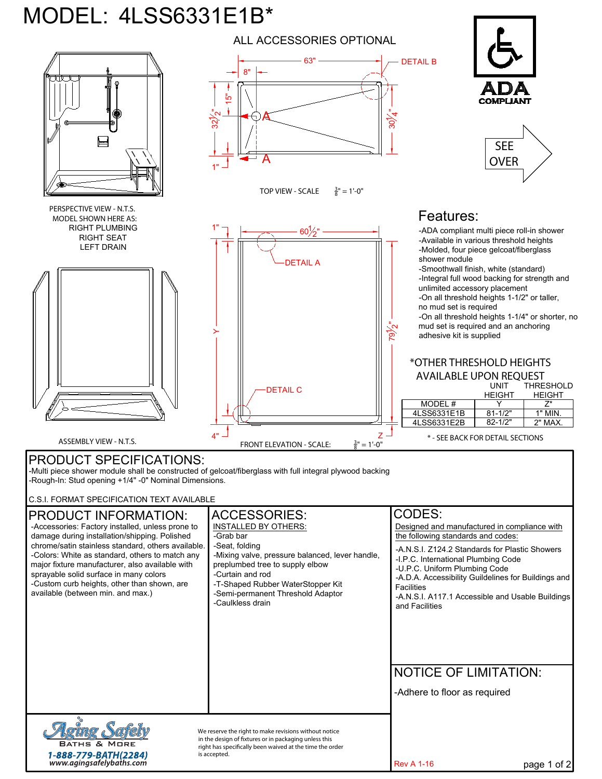## MODEL: 4LSS6331E1B\*



-Adhere to floor as required

**BATHS & MORE** 1-888-779-BATH(2284)<br>www.agingsafelybaths.com

*We reserve the right to make revisions without notice*  in the design of fixtures or in packaging unless this right has specifically been waived at the time the order *is accepted.*